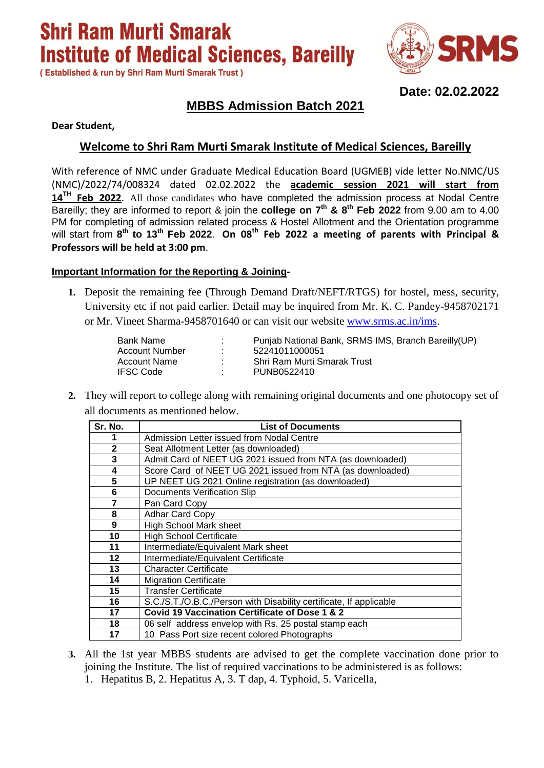**Shri Ram Murti Smarak Institute of Medical Sciences, Bareilly** 

(Established & run by Shri Ram Murti Smarak Trust)



**Date: 02.02.2022**

## **MBBS Admission Batch 2021**

**Dear Student,**

### **Welcome to Shri Ram Murti Smarak Institute of Medical Sciences, Bareilly**

With reference of NMC under Graduate Medical Education Board (UGMEB) vide letter No.NMC/US (NMC)/2022/74/008324 dated 02.02.2022 the **academic session 2021 will start from 14TH Feb 2022**. All those candidates who have completed the admission process at Nodal Centre Bareilly; they are informed to report & join the **college on 7 th & 8th Feb 2022** from 9.00 am to 4.00 PM for completing of admission related process & Hostel Allotment and the Orientation programme will start from **8 th to 13th Feb 2022**. **On 08th Feb 2022 a meeting of parents with Principal & Professors will be held at 3:00 pm**.

### **Important Information for the Reporting & Joining-**

**1.** Deposit the remaining fee (Through Demand Draft/NEFT/RTGS) for hostel, mess, security, University etc if not paid earlier. Detail may be inquired from Mr. K. C. Pandey-9458702171 or Mr. Vineet Sharma-9458701640 or can visit our website [www.srms.ac.in/ims.](http://www.srms.ac.in/ims)

| Bank Name        | ÷  | Punjab National Bank, SRMS IMS, Branch Bareilly (UP) |
|------------------|----|------------------------------------------------------|
| Account Number   |    | 52241011000051                                       |
| Account Name     | ٠. | Shri Ram Murti Smarak Trust                          |
| <b>IFSC Code</b> | л. | PUNB0522410                                          |

**2.** They will report to college along with remaining original documents and one photocopy set of all documents as mentioned below.

| Sr. No.      | <b>List of Documents</b>                                           |
|--------------|--------------------------------------------------------------------|
|              | Admission Letter issued from Nodal Centre                          |
| $\mathbf{2}$ | Seat Allotment Letter (as downloaded)                              |
| 3            | Admit Card of NEET UG 2021 issued from NTA (as downloaded)         |
| 4            | Score Card of NEET UG 2021 issued from NTA (as downloaded)         |
| 5            | UP NEET UG 2021 Online registration (as downloaded)                |
| 6            | <b>Documents Verification Slip</b>                                 |
| 7            | Pan Card Copy                                                      |
| 8            | <b>Adhar Card Copy</b>                                             |
| 9            | High School Mark sheet                                             |
| 10           | <b>High School Certificate</b>                                     |
| 11           | Intermediate/Equivalent Mark sheet                                 |
| 12           | Intermediate/Equivalent Certificate                                |
| 13           | <b>Character Certificate</b>                                       |
| 14           | <b>Migration Certificate</b>                                       |
| 15           | <b>Transfer Certificate</b>                                        |
| 16           | S.C./S.T./O.B.C./Person with Disability certificate, If applicable |
| 17           | Covid 19 Vaccination Certificate of Dose 1 & 2                     |
| 18           | 06 self address envelop with Rs. 25 postal stamp each              |
| 17           | 10 Pass Port size recent colored Photographs                       |

- **3.** All the 1st year MBBS students are advised to get the complete vaccination done prior to joining the Institute. The list of required vaccinations to be administered is as follows:
	- 1. Hepatitus B, 2. Hepatitus A, 3. T dap, 4. Typhoid, 5. Varicella,